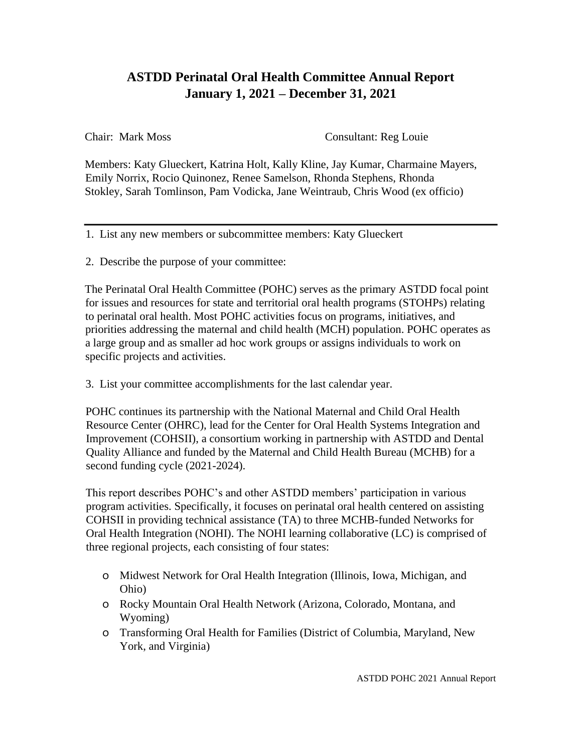## **ASTDD Perinatal Oral Health Committee Annual Report January 1, 2021 – December 31, 2021**

Chair: Mark Moss Consultant: Reg Louie

Members: Katy Glueckert, Katrina Holt, Kally Kline, Jay Kumar, Charmaine Mayers, Emily Norrix, Rocio Quinonez, Renee Samelson, Rhonda Stephens, Rhonda Stokley, Sarah Tomlinson, Pam Vodicka, Jane Weintraub, Chris Wood (ex officio)

1. List any new members or subcommittee members: Katy Glueckert

2. Describe the purpose of your committee:

The Perinatal Oral Health Committee (POHC) serves as the primary ASTDD focal point for issues and resources for state and territorial oral health programs (STOHPs) relating to perinatal oral health. Most POHC activities focus on programs, initiatives, and priorities addressing the maternal and child health (MCH) population. POHC operates as a large group and as smaller ad hoc work groups or assigns individuals to work on specific projects and activities.

3. List your committee accomplishments for the last calendar year.

POHC continues its partnership with the National Maternal and Child Oral Health Resource Center (OHRC), lead for the Center for Oral Health Systems Integration and Improvement (COHSII), a consortium working in partnership with ASTDD and Dental Quality Alliance and funded by the Maternal and Child Health Bureau (MCHB) for a second funding cycle (2021-2024).

This report describes POHC's and other ASTDD members' participation in various program activities. Specifically, it focuses on perinatal oral health centered on assisting COHSII in providing technical assistance (TA) to three MCHB-funded Networks for Oral Health Integration (NOHI). The NOHI learning collaborative (LC) is comprised of three regional projects, each consisting of four states:

- o Midwest Network for Oral Health Integration (Illinois, Iowa, Michigan, and Ohio)
- o Rocky Mountain Oral Health Network (Arizona, Colorado, Montana, and Wyoming)
- o Transforming Oral Health for Families (District of Columbia, Maryland, New York, and Virginia)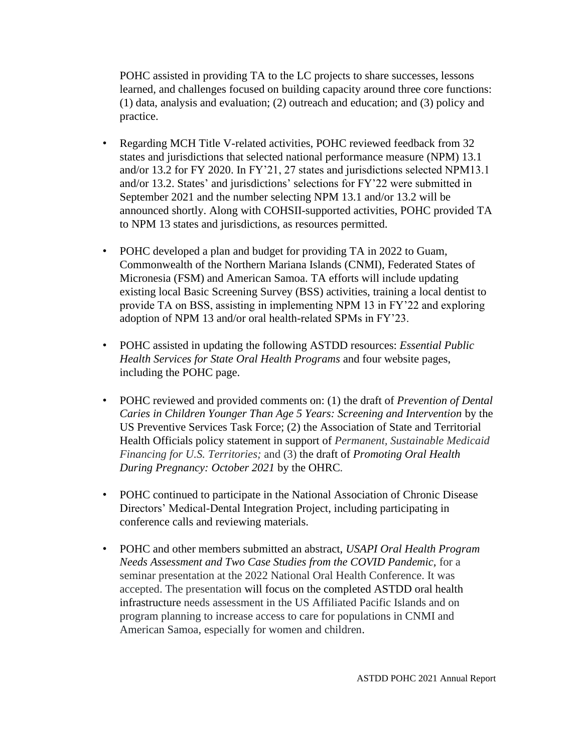POHC assisted in providing TA to the LC projects to share successes, lessons learned, and challenges focused on building capacity around three core functions: (1) data, analysis and evaluation; (2) outreach and education; and (3) policy and practice.

- Regarding MCH Title V-related activities, POHC reviewed feedback from 32 states and jurisdictions that selected national performance measure (NPM) 13.1 and/or 13.2 for FY 2020. In FY'21, 27 states and jurisdictions selected NPM13.1 and/or 13.2. States' and jurisdictions' selections for FY'22 were submitted in September 2021 and the number selecting NPM 13.1 and/or 13.2 will be announced shortly. Along with COHSII-supported activities, POHC provided TA to NPM 13 states and jurisdictions, as resources permitted.
- POHC developed a plan and budget for providing TA in 2022 to Guam, Commonwealth of the Northern Mariana Islands (CNMI), Federated States of Micronesia (FSM) and American Samoa. TA efforts will include updating existing local Basic Screening Survey (BSS) activities, training a local dentist to provide TA on BSS, assisting in implementing NPM 13 in FY'22 and exploring adoption of NPM 13 and/or oral health-related SPMs in FY'23.
- POHC assisted in updating the following ASTDD resources: *Essential Public Health Services for State Oral Health Programs* and four website pages, including the POHC page.
- POHC reviewed and provided comments on: (1) the draft of *Prevention of Dental Caries in Children Younger Than Age 5 Years: Screening and Intervention* by the US Preventive Services Task Force; (2) the Association of State and Territorial Health Officials policy statement in support of *Permanent, Sustainable Medicaid Financing for U.S. Territories;* and (3) the draft of *Promoting Oral Health During Pregnancy: October 2021* by the OHRC*.*
- POHC continued to participate in the National Association of Chronic Disease Directors' Medical-Dental Integration Project, including participating in conference calls and reviewing materials.
- POHC and other members submitted an abstract, *USAPI Oral Health Program Needs Assessment and Two Case Studies from the COVID Pandemic,* for a seminar presentation at the 2022 National Oral Health Conference. It was accepted. The presentation will focus on the completed ASTDD oral health infrastructure needs assessment in the US Affiliated Pacific Islands and on program planning to increase access to care for populations in CNMI and American Samoa, especially for women and children.